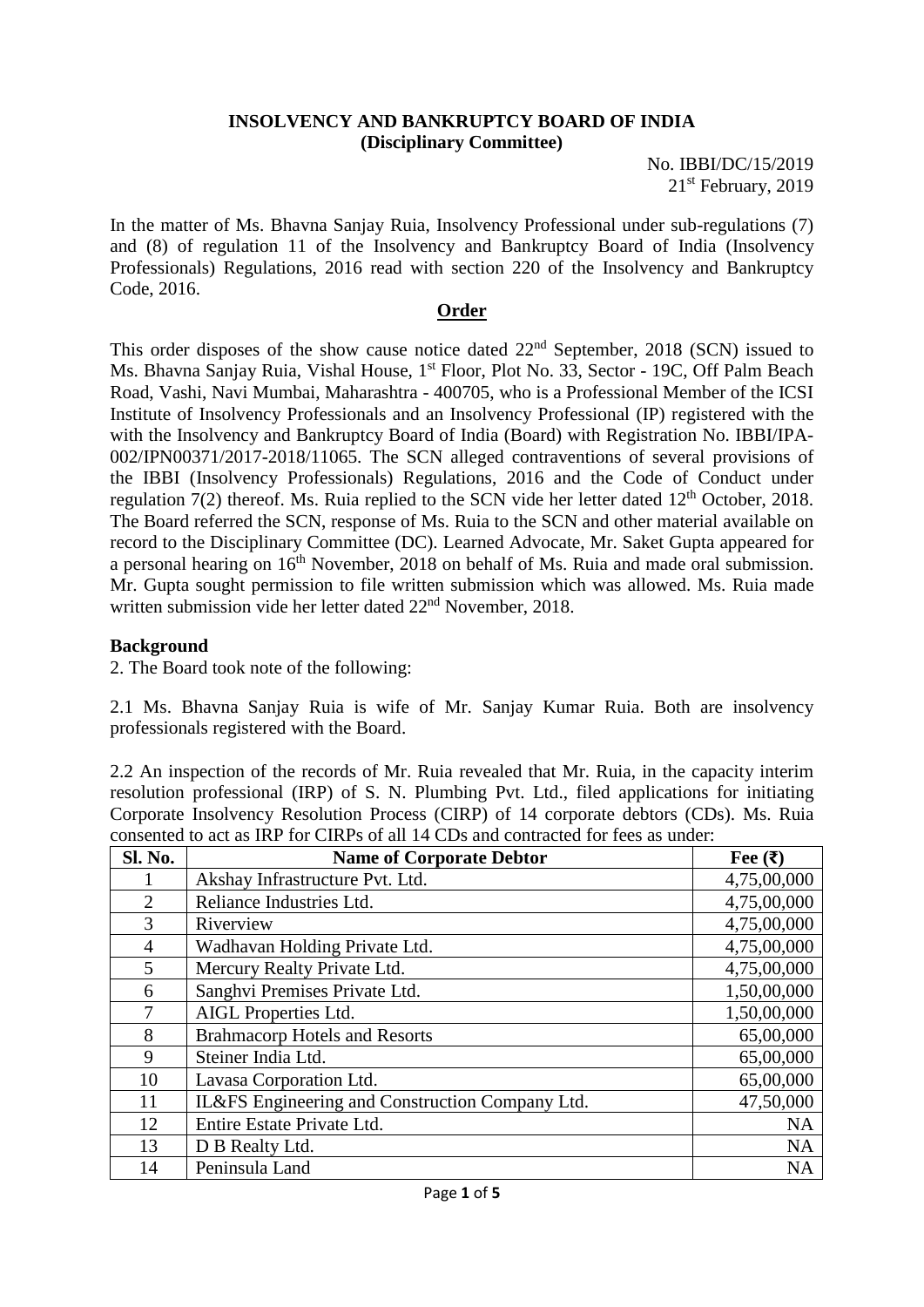### **INSOLVENCY AND BANKRUPTCY BOARD OF INDIA (Disciplinary Committee)**

No. IBBI/DC/15/2019 21<sup>st</sup> February, 2019

In the matter of Ms. Bhavna Sanjay Ruia, Insolvency Professional under sub-regulations (7) and (8) of regulation 11 of the Insolvency and Bankruptcy Board of India (Insolvency Professionals) Regulations, 2016 read with section 220 of the Insolvency and Bankruptcy Code, 2016.

## **Order**

This order disposes of the show cause notice dated 22nd September, 2018 (SCN) issued to Ms. Bhavna Sanjay Ruia, Vishal House, 1<sup>st</sup> Floor, Plot No. 33, Sector - 19C, Off Palm Beach Road, Vashi, Navi Mumbai, Maharashtra - 400705, who is a Professional Member of the ICSI Institute of Insolvency Professionals and an Insolvency Professional (IP) registered with the with the Insolvency and Bankruptcy Board of India (Board) with Registration No. IBBI/IPA-002/IPN00371/2017-2018/11065. The SCN alleged contraventions of several provisions of the IBBI (Insolvency Professionals) Regulations, 2016 and the Code of Conduct under regulation  $7(2)$  thereof. Ms. Ruia replied to the SCN vide her letter dated  $12<sup>th</sup>$  October, 2018. The Board referred the SCN, response of Ms. Ruia to the SCN and other material available on record to the Disciplinary Committee (DC). Learned Advocate, Mr. Saket Gupta appeared for a personal hearing on  $16<sup>th</sup>$  November, 2018 on behalf of Ms. Ruia and made oral submission. Mr. Gupta sought permission to file written submission which was allowed. Ms. Ruia made written submission vide her letter dated 22<sup>nd</sup> November, 2018.

## **Background**

2. The Board took note of the following:

2.1 Ms. Bhavna Sanjay Ruia is wife of Mr. Sanjay Kumar Ruia. Both are insolvency professionals registered with the Board.

2.2 An inspection of the records of Mr. Ruia revealed that Mr. Ruia, in the capacity interim resolution professional (IRP) of S. N. Plumbing Pvt. Ltd., filed applications for initiating Corporate Insolvency Resolution Process (CIRP) of 14 corporate debtors (CDs). Ms. Ruia consented to act as IRP for CIRPs of all 14 CDs and contracted for fees as under:

| Sl. No. | <b>Name of Corporate Debtor</b>                 | Fee $(\bar{\mathbf{z}})$ |
|---------|-------------------------------------------------|--------------------------|
|         | Akshay Infrastructure Pvt. Ltd.                 | 4,75,00,000              |
| 2       | Reliance Industries Ltd.                        | 4,75,00,000              |
| 3       | Riverview                                       | 4,75,00,000              |
| 4       | Wadhavan Holding Private Ltd.                   | 4,75,00,000              |
| 5       | Mercury Realty Private Ltd.                     | 4,75,00,000              |
| 6       | Sanghvi Premises Private Ltd.                   | 1,50,00,000              |
| 7       | AIGL Properties Ltd.                            | 1,50,00,000              |
| 8       | <b>Brahmacorp Hotels and Resorts</b>            | 65,00,000                |
| 9       | Steiner India Ltd.                              | 65,00,000                |
| 10      | Lavasa Corporation Ltd.                         | 65,00,000                |
| 11      | IL&FS Engineering and Construction Company Ltd. | 47,50,000                |
| 12      | Entire Estate Private Ltd.                      | <b>NA</b>                |
| 13      | D B Realty Ltd.                                 | <b>NA</b>                |
| 14      | Peninsula Land                                  | <b>NA</b>                |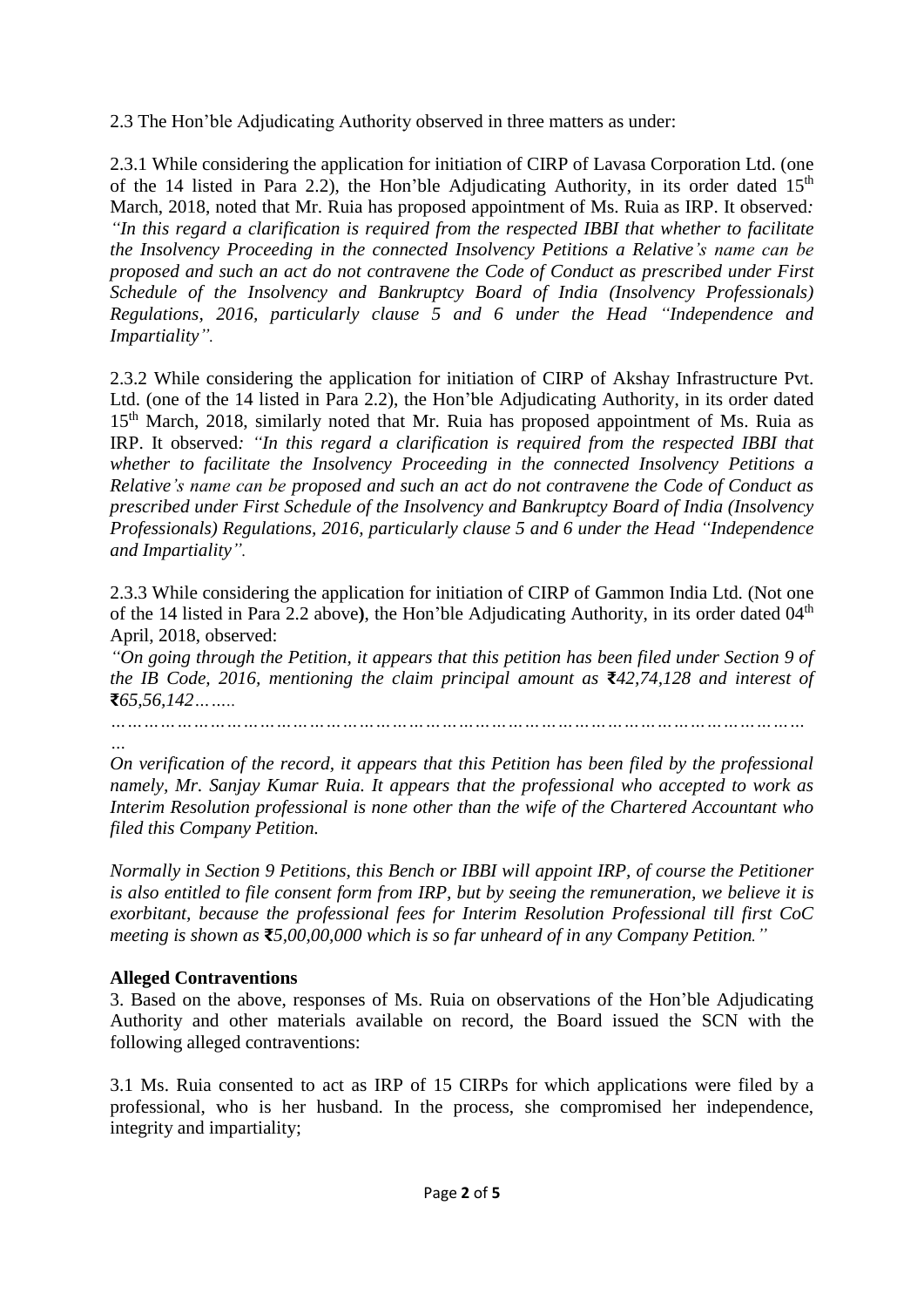2.3 The Hon'ble Adjudicating Authority observed in three matters as under:

2.3.1 While considering the application for initiation of CIRP of Lavasa Corporation Ltd. (one of the 14 listed in Para 2.2), the Hon'ble Adjudicating Authority, in its order dated  $15<sup>th</sup>$ March, 2018, noted that Mr. Ruia has proposed appointment of Ms. Ruia as IRP. It observed*: "In this regard a clarification is required from the respected IBBI that whether to facilitate the Insolvency Proceeding in the connected Insolvency Petitions a Relative's name can be proposed and such an act do not contravene the Code of Conduct as prescribed under First Schedule of the Insolvency and Bankruptcy Board of India (Insolvency Professionals) Regulations, 2016, particularly clause 5 and 6 under the Head "Independence and Impartiality".*

2.3.2 While considering the application for initiation of CIRP of Akshay Infrastructure Pvt. Ltd. (one of the 14 listed in Para 2.2), the Hon'ble Adjudicating Authority, in its order dated 15<sup>th</sup> March, 2018, similarly noted that Mr. Ruia has proposed appointment of Ms. Ruia as IRP. It observed*: "In this regard a clarification is required from the respected IBBI that whether to facilitate the Insolvency Proceeding in the connected Insolvency Petitions a Relative's name can be proposed and such an act do not contravene the Code of Conduct as prescribed under First Schedule of the Insolvency and Bankruptcy Board of India (Insolvency Professionals) Regulations, 2016, particularly clause 5 and 6 under the Head "Independence and Impartiality".*

2.3.3 While considering the application for initiation of CIRP of Gammon India Ltd. (Not one of the 14 listed in Para 2.2 above), the Hon'ble Adjudicating Authority, in its order dated 04<sup>th</sup> April, 2018, observed:

*"On going through the Petition, it appears that this petition has been filed under Section 9 of the IB Code, 2016, mentioning the claim principal amount as* **₹***42,74,128 and interest of*  **₹***65,56,142……..*

*………………………………………………………………………………………………………………*

*… On verification of the record, it appears that this Petition has been filed by the professional namely, Mr. Sanjay Kumar Ruia. It appears that the professional who accepted to work as Interim Resolution professional is none other than the wife of the Chartered Accountant who filed this Company Petition.*

*Normally in Section 9 Petitions, this Bench or IBBI will appoint IRP, of course the Petitioner is also entitled to file consent form from IRP, but by seeing the remuneration, we believe it is exorbitant, because the professional fees for Interim Resolution Professional till first CoC meeting is shown as* **₹***5,00,00,000 which is so far unheard of in any Company Petition."*

# **Alleged Contraventions**

3. Based on the above, responses of Ms. Ruia on observations of the Hon'ble Adjudicating Authority and other materials available on record, the Board issued the SCN with the following alleged contraventions:

3.1 Ms. Ruia consented to act as IRP of 15 CIRPs for which applications were filed by a professional, who is her husband. In the process, she compromised her independence, integrity and impartiality;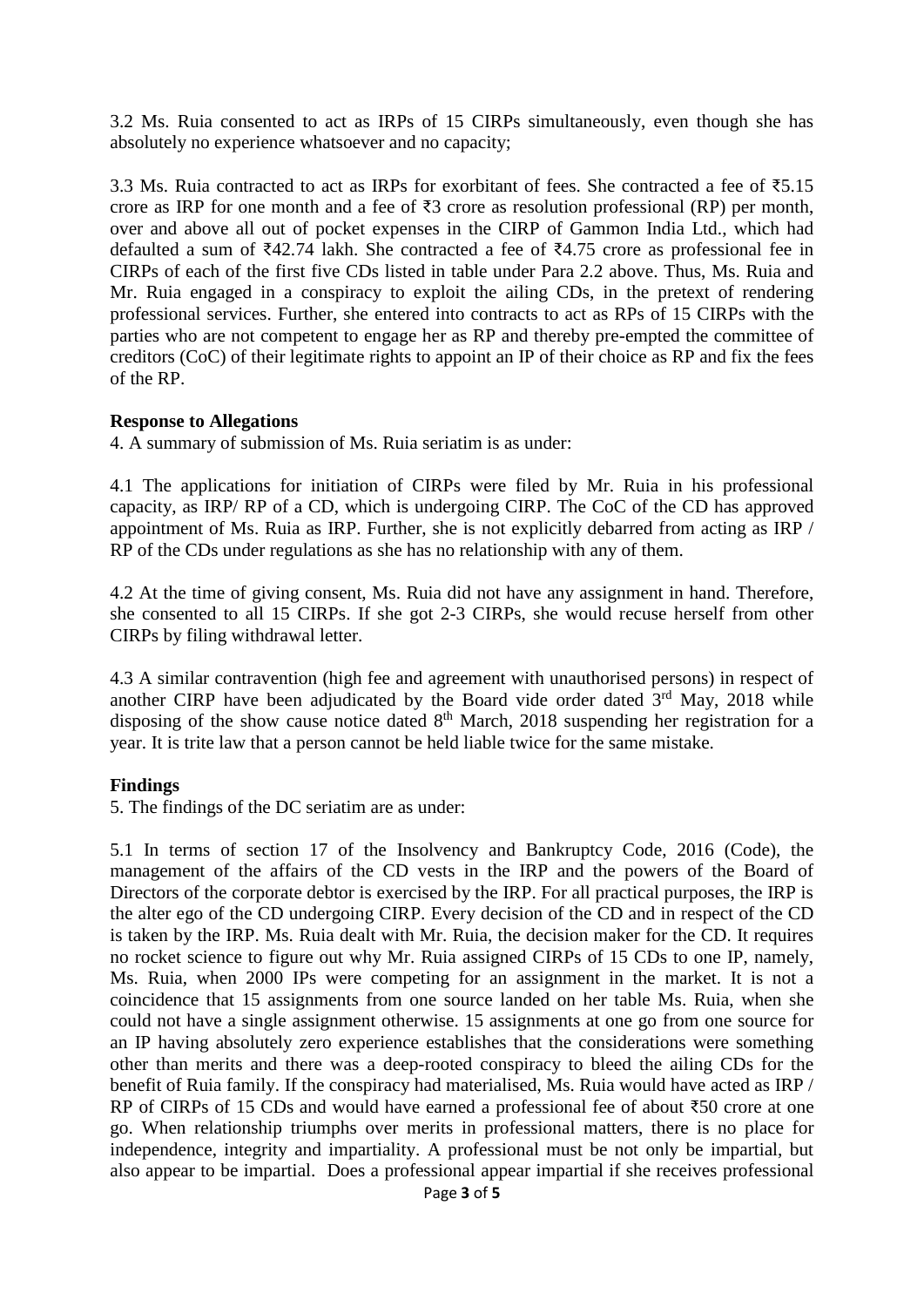3.2 Ms. Ruia consented to act as IRPs of 15 CIRPs simultaneously, even though she has absolutely no experience whatsoever and no capacity;

3.3 Ms. Ruia contracted to act as IRPs for exorbitant of fees. She contracted a fee of  $\overline{55.15}$ crore as IRP for one month and a fee of  $\overline{3}3$  crore as resolution professional (RP) per month, over and above all out of pocket expenses in the CIRP of Gammon India Ltd., which had defaulted a sum of ₹42.74 lakh. She contracted a fee of ₹4.75 crore as professional fee in CIRPs of each of the first five CDs listed in table under Para 2.2 above. Thus, Ms. Ruia and Mr. Ruia engaged in a conspiracy to exploit the ailing CDs, in the pretext of rendering professional services. Further, she entered into contracts to act as RPs of 15 CIRPs with the parties who are not competent to engage her as RP and thereby pre-empted the committee of creditors (CoC) of their legitimate rights to appoint an IP of their choice as RP and fix the fees of the RP.

## **Response to Allegations**

4. A summary of submission of Ms. Ruia seriatim is as under:

4.1 The applications for initiation of CIRPs were filed by Mr. Ruia in his professional capacity, as IRP/ RP of a CD, which is undergoing CIRP. The CoC of the CD has approved appointment of Ms. Ruia as IRP. Further, she is not explicitly debarred from acting as IRP / RP of the CDs under regulations as she has no relationship with any of them.

4.2 At the time of giving consent, Ms. Ruia did not have any assignment in hand. Therefore, she consented to all 15 CIRPs. If she got 2-3 CIRPs, she would recuse herself from other CIRPs by filing withdrawal letter.

4.3 A similar contravention (high fee and agreement with unauthorised persons) in respect of another CIRP have been adjudicated by the Board vide order dated  $3<sup>rd</sup>$  May, 2018 while disposing of the show cause notice dated  $8<sup>th</sup>$  March, 2018 suspending her registration for a year. It is trite law that a person cannot be held liable twice for the same mistake.

# **Findings**

5. The findings of the DC seriatim are as under:

5.1 In terms of section 17 of the Insolvency and Bankruptcy Code, 2016 (Code), the management of the affairs of the CD vests in the IRP and the powers of the Board of Directors of the corporate debtor is exercised by the IRP. For all practical purposes, the IRP is the alter ego of the CD undergoing CIRP. Every decision of the CD and in respect of the CD is taken by the IRP. Ms. Ruia dealt with Mr. Ruia, the decision maker for the CD. It requires no rocket science to figure out why Mr. Ruia assigned CIRPs of 15 CDs to one IP, namely, Ms. Ruia, when 2000 IPs were competing for an assignment in the market. It is not a coincidence that 15 assignments from one source landed on her table Ms. Ruia, when she could not have a single assignment otherwise. 15 assignments at one go from one source for an IP having absolutely zero experience establishes that the considerations were something other than merits and there was a deep-rooted conspiracy to bleed the ailing CDs for the benefit of Ruia family. If the conspiracy had materialised, Ms. Ruia would have acted as IRP / RP of CIRPs of 15 CDs and would have earned a professional fee of about ₹50 crore at one go. When relationship triumphs over merits in professional matters, there is no place for independence, integrity and impartiality. A professional must be not only be impartial, but also appear to be impartial. Does a professional appear impartial if she receives professional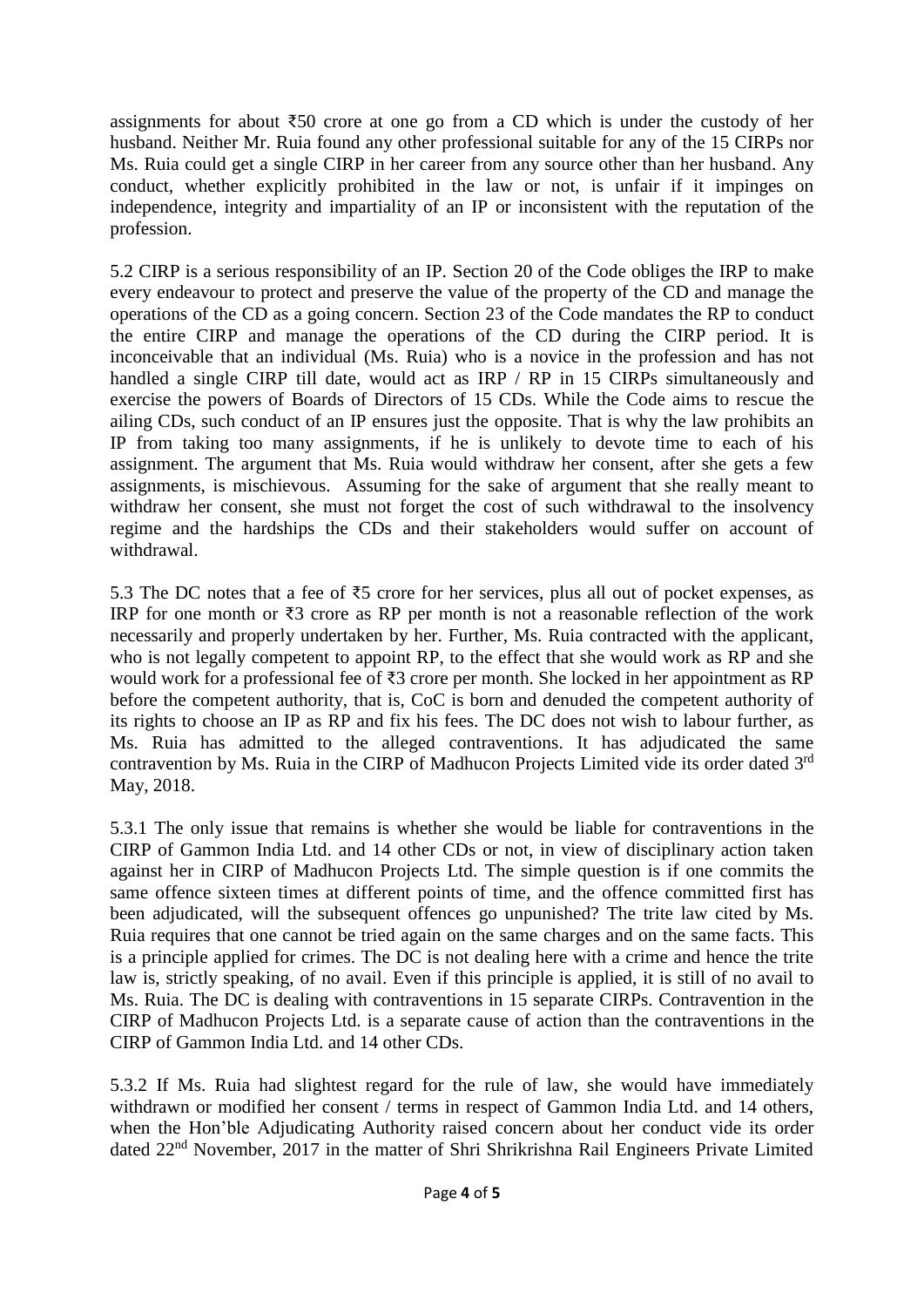assignments for about ₹50 crore at one go from a CD which is under the custody of her husband. Neither Mr. Ruia found any other professional suitable for any of the 15 CIRPs nor Ms. Ruia could get a single CIRP in her career from any source other than her husband. Any conduct, whether explicitly prohibited in the law or not, is unfair if it impinges on independence, integrity and impartiality of an IP or inconsistent with the reputation of the profession.

5.2 CIRP is a serious responsibility of an IP. Section 20 of the Code obliges the IRP to make every endeavour to protect and preserve the value of the property of the CD and manage the operations of the CD as a going concern. Section 23 of the Code mandates the RP to conduct the entire CIRP and manage the operations of the CD during the CIRP period. It is inconceivable that an individual (Ms. Ruia) who is a novice in the profession and has not handled a single CIRP till date, would act as IRP / RP in 15 CIRPs simultaneously and exercise the powers of Boards of Directors of 15 CDs. While the Code aims to rescue the ailing CDs, such conduct of an IP ensures just the opposite. That is why the law prohibits an IP from taking too many assignments, if he is unlikely to devote time to each of his assignment. The argument that Ms. Ruia would withdraw her consent, after she gets a few assignments, is mischievous. Assuming for the sake of argument that she really meant to withdraw her consent, she must not forget the cost of such withdrawal to the insolvency regime and the hardships the CDs and their stakeholders would suffer on account of withdrawal.

5.3 The DC notes that a fee of ₹5 crore for her services, plus all out of pocket expenses, as IRP for one month or ₹3 crore as RP per month is not a reasonable reflection of the work necessarily and properly undertaken by her. Further, Ms. Ruia contracted with the applicant, who is not legally competent to appoint RP, to the effect that she would work as RP and she would work for a professional fee of ₹3 crore per month. She locked in her appointment as RP before the competent authority, that is, CoC is born and denuded the competent authority of its rights to choose an IP as RP and fix his fees. The DC does not wish to labour further, as Ms. Ruia has admitted to the alleged contraventions. It has adjudicated the same contravention by Ms. Ruia in the CIRP of Madhucon Projects Limited vide its order dated  $3^{rd}$ May, 2018.

5.3.1 The only issue that remains is whether she would be liable for contraventions in the CIRP of Gammon India Ltd. and 14 other CDs or not, in view of disciplinary action taken against her in CIRP of Madhucon Projects Ltd. The simple question is if one commits the same offence sixteen times at different points of time, and the offence committed first has been adjudicated, will the subsequent offences go unpunished? The trite law cited by Ms. Ruia requires that one cannot be tried again on the same charges and on the same facts. This is a principle applied for crimes. The DC is not dealing here with a crime and hence the trite law is, strictly speaking, of no avail. Even if this principle is applied, it is still of no avail to Ms. Ruia. The DC is dealing with contraventions in 15 separate CIRPs. Contravention in the CIRP of Madhucon Projects Ltd. is a separate cause of action than the contraventions in the CIRP of Gammon India Ltd. and 14 other CDs.

5.3.2 If Ms. Ruia had slightest regard for the rule of law, she would have immediately withdrawn or modified her consent / terms in respect of Gammon India Ltd. and 14 others, when the Hon'ble Adjudicating Authority raised concern about her conduct vide its order dated 22nd November, 2017 in the matter of Shri Shrikrishna Rail Engineers Private Limited